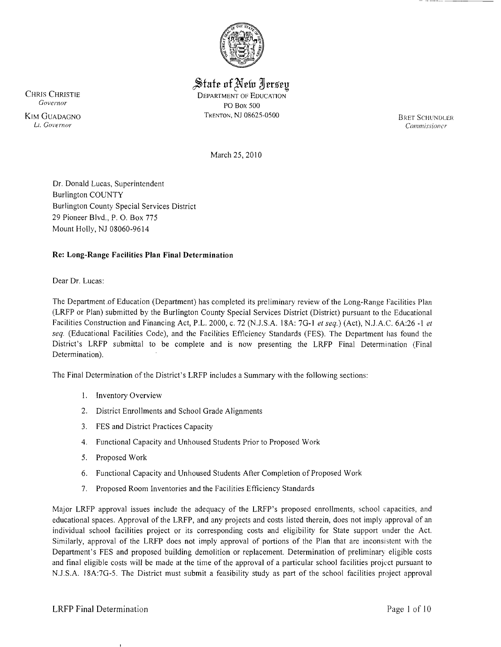

# $\frac{1}{2}$ State of New *Jersey* CHRIS CHRISTIE DEPARTMENT OF EDUCATION

*Governor* PO Box 500 KIM GUADAGNO TRENTON, NJ 08625-0500<br>Li. Governor

BRET SCHUNDLER<br>Commissioner *LT. Governor Commissioner* 

-\_ ....\_.\_\_.\_.\_.

---

March 25,2010

Dr. Donald Lucas, Superintendent Burlington COUNTY Burlington County Special Services District 29 Pioneer Blvd., P. O. Box 775 Mount Holly, NJ 08060-9614

# Re: Long-Range Facilities Plan Final Determination

Dear Dr. Lucas:

The Department ,of Education (Department) has completed its preliminary review of the Long-Range Facilities Plan (LRFP or Plan) submitted by the Burlington County Special Services District (District) pursuant to the Educational Facilities Construction and Financing Act, P.L. 2000, c. 72 (N.J.S.A. 18A: 7G-I *et seq.)* (Act), N.J.A.C. 6A:26 -I *et seq.* (Educational Facilities Code), and the Facilities Efficiency Standards (FES). The Department has found the District's LRFP submittal to be complete and is now presenting the LRFP Final Determination (Final Determination).

The Final Determination of the District's LRFP includes a Summary with the following sections:

- I. Inventory Overview
- 2. District Enrollments and School Grade Alignments
- 3. FES and District Practices Capacity
- 4. Functional Capacity and Unhoused Students Prior to Proposed Work
- 5. Proposed Work
- 6. Functional Capacity and Unhoused Students After Completion of Proposed Work
- 7. Proposed Room Inventories and the Facilities Efficiency Standards

Major LRFP approval issues include the adequacy of the LRFP's proposed enrollments, school capacities, and educational spaces. Approval of the LRFP, and any projects and costs listed therein, does not imply approval of an individual school facilities project or its corresponding costs and eligibility for State support under the Act. Similarly, approval of the LRFP does not imply approval of portions of the Plan that are inconsistent with the Department's FES and proposed building demolition or replacement. Determination of preliminary eligible costs and final eligible costs will be made at the time of the approval of a particular school facilities project pursuant to N.J.S.A. 18A:7G-5. The District must submit a feasibility study as part of the school facilities project approval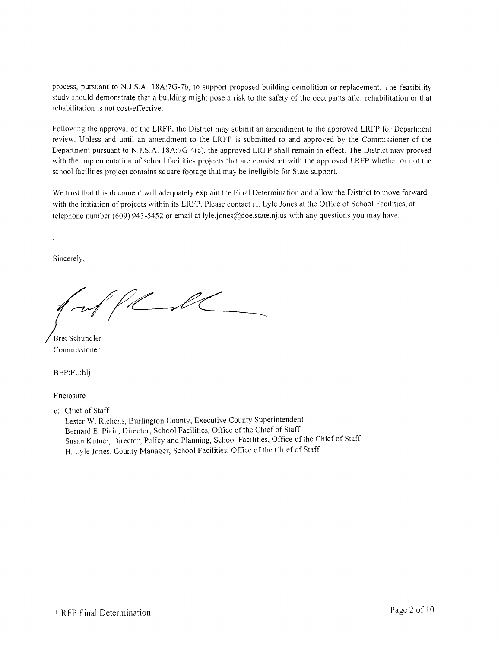process, pursuant to N.J.S.A. 18A:7G-7b, to support proposed building demolition or replacement. The feasibility study should demonstrate that a building might pose a risk to the safety of the occupants after rehabilitation or that rehabilitation is not cost-effective.

Following the approval of the LRFP, the District may submit an amendment to the approved LRFP for Department review. Unless and until an amendment to the LRFP is submitted to and approved by the Commissioner of the Department pursuant to N.J.S.A. 18A:7G-4(c), the approved LRFP shall remain in effect. The District may proceed with the implementation of school facilities projects that are consistent with the approved LRFP whether or not the school facilities project contains square footage that may be ineligible for State support.

We trust that this document will adequately explain the Final Determination and allow the District to move forward with the initiation of projects within its LRFP. Please contact H. Lyle Jones at the Office of School Facilities, at telephone number (609) 943-5452 or email at lyle jones@doe.state.nj.us with any questions you may have.

Sincerely,

Bret Schundler Commissioner

BEP:FL:hlj

Enclosure

c: Chief of Staff

Lester W. Richens, Burlington County, Executive County Superintendent Bernard E. Piaia, Director, School Facilities, Office of the Chief of Staff Susan Kutner, Director, Policy and Planning, School Facilities, Office of the Chief of Staff H. Lyle Jones, County Manager, School Facilities, Office of the Chief of Staff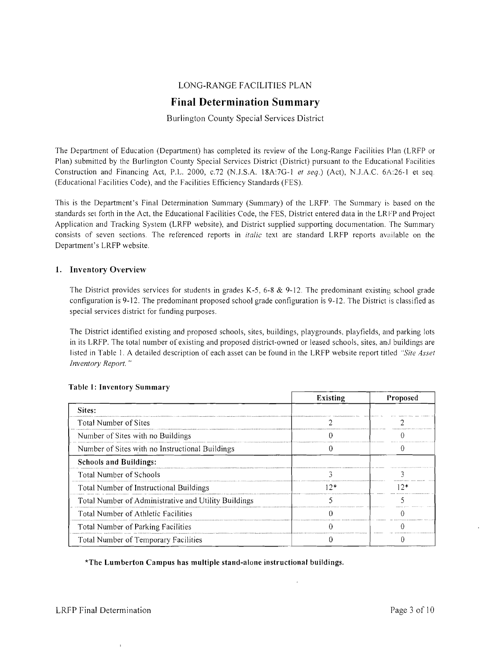# LONG-RANGE FACILITIES PLAN

# **Final Determination Summary**

Burlington County Special Services District

The Department of Education (Department) has completed its review of the Long-Range Facilities Plan (LRFP or Plan) submitted by the Burlington County Special Services District (District) pursuant to the Educational Facilities Construction and Financing Act, P.L. 2000, c.72 (N.J.S.A. 18A:7G-1 et seq.) (Act), N.J.A.C. 6A:26-1 et seq. (Educational Facilities Code), and the Facilities Efficiency Standards (FES).

This is the Department's Final Determination Summary (Summary) of the LRFP. The Summary i: based on the standards set forth in the Act, the Educational Facilities Code, the FES, District entered data in the LRFP and Project Application and Tracking System (LRFP website), and District supplied supporting documentation. The Summary consists of seven sections. The referenced reports in *italic* text are standard LRFP reports available on the Department's LRFP website.

# **1. Inventory Overview**

The District provides services for students in grades K-5, 6-8 & 9-12. The predominant existing school grade configuration is 9-12. The predominant proposed school grade configuration is 9-12. The District is classified as special services district for funding purposes.

The District identified existing and proposed schools, sites, buildings, playgrounds, playfields, and parking lots in its LRFP. The total number of existing and proposed district-owned or leased schools, sites, and buildings are Iisted in Table I. A detailed description of each asset can be found in the LRFP website report titled *"Site Asset Inventory Report. "* 

|                                                      | <b>Existing</b> | Proposed |
|------------------------------------------------------|-----------------|----------|
| Sites:                                               |                 |          |
| Total Number of Sites                                |                 |          |
| Number of Sites with no Buildings                    |                 |          |
| Number of Sites with no Instructional Buildings      |                 |          |
| <b>Schools and Buildings:</b>                        |                 |          |
| Total Number of Schools                              |                 |          |
| Total Number of Instructional Buildings              | $12*$           | $12*$    |
| Total Number of Administrative and Utility Buildings |                 |          |
| Total Number of Athletic Facilities                  |                 |          |
| Total Number of Parking Facilities                   |                 |          |
| Total Number of Temporary Facilities                 |                 |          |

#### **Table 1: Inventory Summary**

**\*The Lumberton Campus has multiple stand-alone instructional buildings.**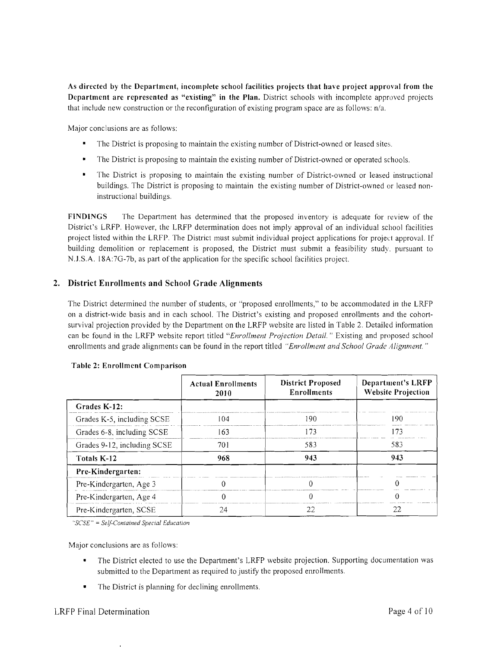As directed by the Department, incomplete school facilities projects that have project approval from the Department are represented as "existing" in the Plan. District schools with incomplete approved projects that include new construction or the reconfiguration of existing program space are as follows: n/a.

Major conclusions are as follows:

- $\blacksquare$ The District is proposing to maintain the existing number of District-owned or leased sites.
- The District is proposing to maintain the existing number of District-owned or operated schools.
- The District is proposing to maintain the existing number of District-owned or leased instructional buildings. The District is proposing to maintain the existing number of District-owned or leased noninstructional buildings.

FINDINGS The Department has determined that the proposed inventory is adequate for review of the District's LRFP. However, the LRFP determination does not imply approval of an individual school facilities project listed within the LRFP. The District must submit individual project applications for project approval. If building demolition or replacement is proposed, the District must submit a feasibility study. pursuant to N.J.S.A. 18A:7G-7b, as part of the application for the specific school facilities project.

# 2. District Enrollments and School Grade Alignments

The District determined the number of students, or "proposed enrollments," to be accommodated in the LRFP on a district-wide basis and in each school. The District's existing and proposed enrollments and the cohortsurvival projection provided by the Department on the LRFP website are listed in Table 2. Detailed information can be found in the LRFP website report titled *"Enrollment Projection Detail.* " Existing and proposed school enrollments and grade alignments can be found in the report titled *"Enrollment and School Grade Alignment. "* 

|                             | <b>Actual Enrollments</b><br>2010 | <b>District Proposed</b><br><b>Enrollments</b> | Department's LRFP<br><b>Website Projection</b> |
|-----------------------------|-----------------------------------|------------------------------------------------|------------------------------------------------|
| Grades K-12:                |                                   |                                                |                                                |
| Grades K-5, including SCSE  | 104                               | 190                                            | 190                                            |
| Grades 6-8, including SCSE  | 163                               |                                                | 173                                            |
| Grades 9-12, including SCSE | 701                               | 583                                            | 583                                            |
| Totals K-12                 | 968                               | 943                                            | 943                                            |
| Pre-Kindergarten:           |                                   |                                                |                                                |
| Pre-Kindergarten, Age 3     |                                   |                                                |                                                |
| Pre-Kindergarten, Age 4     |                                   |                                                |                                                |
| Pre-Kindergarten, SCSE      | 24                                | 22                                             | 22                                             |

#### Table 2: Enrollment Comparison

*"SCSE"* = *Self-Contained Special Education* 

Major conclusions are as follows:

- The District elected to use the Department's LRFP website projection. Supporting documentation was submitted to the Department as required to justify the proposed enrollments.
- The District is planning for declining enrollments.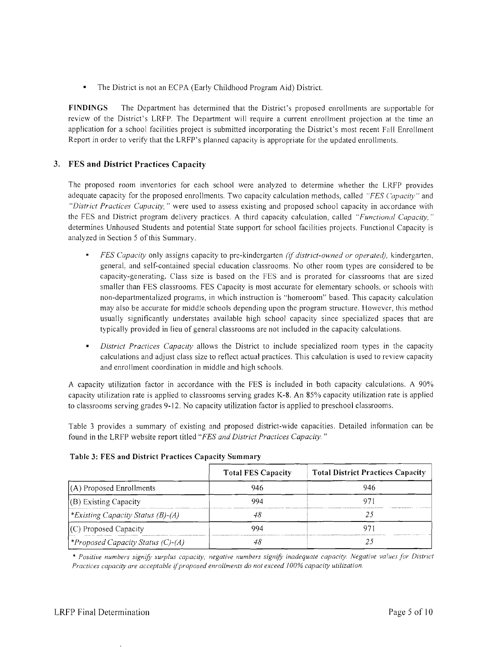The District is not an ECPA (Early Childhood Program Aid) District.  $\bullet$ 

**FINDINGS** The Department has determined that the District's proposed enrollments are supportable for review of the District's LRFP. The Department will require a current enrollment projection al the time an application for a school facilities project is submitted incorporating the District's most recent Fall Enrollment Report in order to verify that the LRFP's planned capacity is appropriate for the updated enrollments.

# **3. FES and District Practices Capacity**

The proposed room inventories for each school were analyzed to determine whether the LRFP provides adequate capacity for the proposed enrollments. Two capacity calculation methods, called *"FES ('apacity"* and *"District Practices Capacity,* " were used to assess existing and proposed school capacity in accordance with the FES and District program delivery practices. A third capacity calculation, called *"Functional Capacity. "*  determines Unhoused Students and potential State support for school facilities projects. Functional Capacity is analyzed in Section 5 of this Summary.

- *FES Capacity* only assigns capacity to pre-kindergarten *(if district-owned or operated)*, kindergarten, general, and self-contained special education classrooms. No other room types are considered to be capacity-generating. Class size is based on the FES and is prorated for classrooms that are sized smaller than FES classrooms. FES Capacity is most accurate for elementary schools, or schools with non-departmentalized programs, in which instruction is "homeroom" based. This capacity calculation may also be accurate for middle schools depending upon the program structure. However, this method usually significantly understates available high school capacity since specialized spaces that are typically provided in lieu of general classrooms are not included in the capacity calculations.
- *District Practices Capacity* allows the District to include specialized room types in the capacity calculations and adjust class size to reflect actual practices. This calculation is used to review capacity and enrollment coordination in middle and high schools.

A capacity utilization factor in accordance with the FES is included in both capacity calculations. A 90% capacity utilization rate is applied to classrooms serving grades K-8. An 85% capacity utilization rate is applied to classrooms serving grades 9-12. No capacity utilization factor is applied to preschool classrooms.

Table 3 provides a summary of existing and proposed district-wide capacities. Detailed information can be found in the LRFP website report titled *"FES and District Practices Capacity. "* 

|                                         | <b>Total FES Capacity</b> | <b>Total District Practices Capacity</b> |  |
|-----------------------------------------|---------------------------|------------------------------------------|--|
| (A) Proposed Enrollments                | 946                       |                                          |  |
| (B) Existing Capacity                   | 994                       |                                          |  |
| * Existing Capacity Status (B)-(A)      |                           |                                          |  |
| (C) Proposed Capacity                   | 994                       |                                          |  |
| <i>Proposed Capacity Status (C)-(A)</i> |                           |                                          |  |

# **Table 3: FES and District Practices Capacity Summary**

\* *Positive numbers signifY surplus capacity; negative numbers signifY inadequate capacity. Negative vailles for District Practices capacity are acceptable* if*proposed enrollments do not exceed* J*00% capacity utilization.*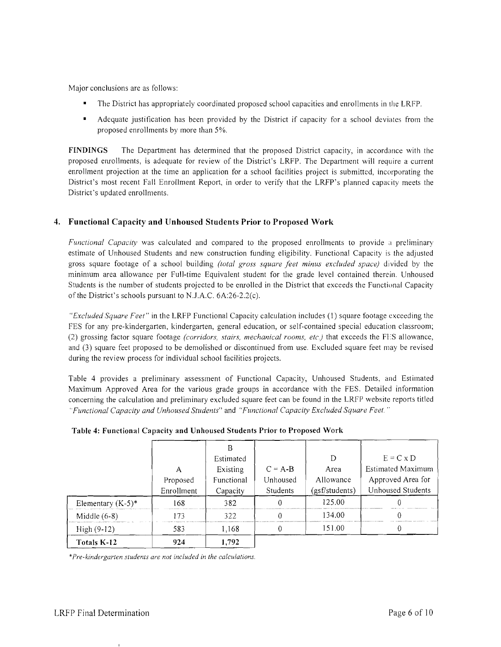Major conclusions are as follows:

- The District has appropriately coordinated proposed school capacities and enrollments in the LRFP.
- • Adequate justification has been provided by the District if capacity for a school deviates from the proposed enrollments by more than 5%.

FINDINGS The Department has determined that the proposed District capacity, in accordance with the proposed enrollments, is adequate for review of the District's LRFP. The Depatiment will require a current enrollment projection at the time an application for a school facilities project is submitted, incorporating the District's most recent Fall Enrollment Report, in order to verify that the LRFP's planned capacity meets the District's updated enrollments.

# 4. Functional Capacity and Unhoused Students Prior to Proposed Work

*Functional Capacity* was calculated and compared to the proposed enrollments to provide a preliminary estimate of Unhoused Students and new construction funding eligibility. Functional Capacity is the adjusted gross square footage of a school building *(total gross square feet minus excluded space)* divided by the minimum area allowance per Full-time Equivalent student for the grade level contained therein. Unhoused Students is the number of students projected to be enrolled in the District that exceeds the Functional Capacity of the District's schools pursuant to N.J.A.C.  $6A:26-2.2(c)$ .

*"Excluded Square Feet"* in the LRFP Functional Capacity calculation includes (I) square footage exceeding the FES for any pre-kindergarten, kindergarten, general education, or self-contained special education classroom; (2) grossing factor square footage *(corridors, stairs, mechanical rooms, etc.)* that exceeds the FES allowance, and (3) square feet proposed to be demolished or discontinued from use. Excluded square feet may be revised during the review process for individual school facilities projects.

Table 4 provides a preliminary assessment of Functional Capacity, Unhoused Students, and Estimated Maximum Approved Area for the various grade groups in accordance with the FES. Detailed information concerning the calculation and preliminary excluded square feet can be found in the LRFP website reports titled *"Functional Capacity and Unhoused Students"* and *"Functional Capacity Excluded Square Feet.* ..

|                      | А<br>Proposed<br>Enrollment | Estimated<br>Existing<br>Functional<br>Capacity | $C = A-B$<br>Unhoused<br>Students | Area<br>Allowance<br>(gsf/students) | $E = C \times D$<br><b>Estimated Maximum</b><br>Approved Area for<br>Unhoused Students |
|----------------------|-----------------------------|-------------------------------------------------|-----------------------------------|-------------------------------------|----------------------------------------------------------------------------------------|
| Elementary $(K-5)^*$ | 168                         | 382                                             |                                   | 125.00                              |                                                                                        |
| Middle $(6-8)$       | 173                         | 322                                             |                                   | 134.00                              |                                                                                        |
| $High (9-12)$        | 583                         | 1,168                                           |                                   | 151.00                              |                                                                                        |
| Totals K-12          | 924                         | 1.792                                           |                                   |                                     |                                                                                        |

Table 4: Functional Capacity and Unhoused Students Prior to Proposed Work

*"Pre-kindergarten students are not included in the calculations.*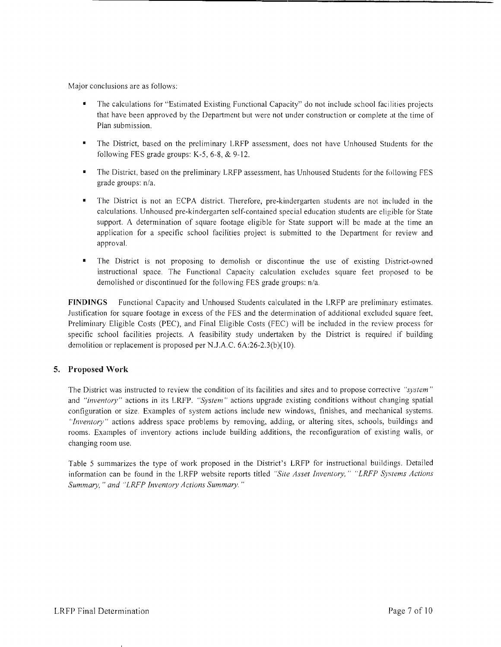Major conclusions are as follows:

- The calculations for "Estimated Existing Functional Capacity" do not include school facilities projects that have been approved by the Department but were not under construction or complete at the time of Plan submission.
- The District, based on the preliminary LRFP assessment, does not have Unhoused Students for the following FES grade groups: K-5, 6-8, & 9-12.
- The District, based on the preliminary LRFP assessment, has Unhoused Students for the following FES grade groups: n/a.
- The District is not an ECPA district. Therefore, pre-kindergarten students are not included in the calculations. Unhoused pre-kindergarten self-contained special education students are eligible for State support. A determination of square footage eligible for State support will be made at the time an application for a specific school facilities project is submitted to the Department for review and approval.
- The District is not proposing to demolish or discontinue the use of existing District-owned instructional space. The Functional Capacity calculation excludes square feet proposed to be demolished or discontinued for the following FES grade groups: *n/a.*

**FINDINGS** Functional Capacity and Unhoused Students calculated in the LRFP are preliminary estimates. Justification for square footage in excess of the FES and the determination of additional excluded square feet, Preliminary Eligible Costs (PEC), and Final Eligible Costs (FEC) will be included in the review process for specific school facilities projects. A feasibility study undertaken by the District is required if building demolition or replacement is proposed per N.J.A.C. 6A:26-2.3(b)(10).

# **5. Proposed Work**

The District was instructed to review the condition of its facilities and sites and to propose corrective *":,ystem"*  and *"inventory"* actions in its LRFP. *"System"* actions upgrade existing conditions without changing spatial configuration or size. Examples of system actions include new windows, finishes, and mechanical systems. *"Inventory"* actions address space problems by removing. adding, or altering sites, schools, buildings and rooms. Examples of inventory actions include building additions, the reconfiguration of existing walls, or changing room use.

Table 5 summarizes the type of work proposed in the District's LRFP for instructional buildings. Detailed information can be found in the LRFP website reports titled *"Site Asset Inventory," "LRFP Systems Actions Summmy,* " *and "LRFP Inventory Actions Summary. "*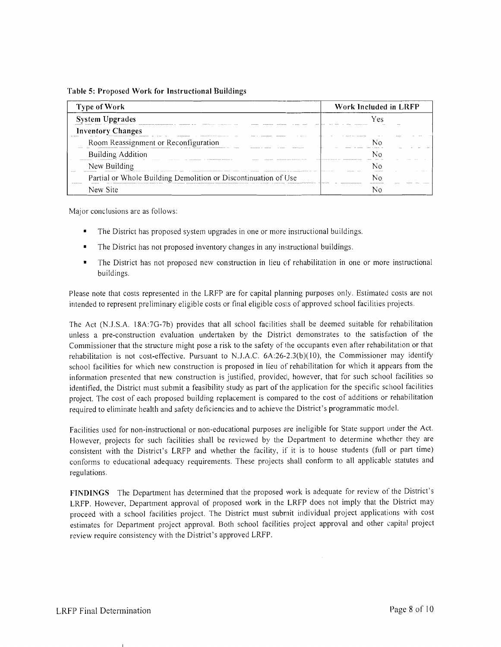**Table 5: Proposed Work for Instructional Buildings** 

| <b>Type of Work</b>                                                                   | Work Included in LRFP       |  |  |
|---------------------------------------------------------------------------------------|-----------------------------|--|--|
| <b>System Upgrades</b><br>A 1988 ELEVISION CONTRACTOR CONTRACTOR                      | .                           |  |  |
| <b>Inventory Changes</b><br><br>.                                                     | The state of the company of |  |  |
| Room Reassignment or Reconfiguration                                                  |                             |  |  |
| <b>Building Addition</b><br>ASASAASAASA AAAPA PULITILIILU ATTIT<br><br><b></b>        |                             |  |  |
| New Building                                                                          | <br>                        |  |  |
| Partial or Whole Building Demolition or Discontinuation of Use<br><b>11 1222/1400</b> | .                           |  |  |
| New Site                                                                              |                             |  |  |

Major conclusions are as follows:

- The District has proposed system upgrades in one or more instructional buildings.
- The District has not proposed inventory changes in any instructional buildings.
- The District has not proposed new construction in lieu of rehabilitation in one or more instructional buildings.

Please note that costs represented in the LRFP are for capital planning purposes only. Estimated costs are not intended to represent preliminary eligible costs or final eligible costs of approved school facilities projects.

The Act (N *.l.S.A.* l8A:7G-7b) provides that all school facilities shall be deemed suitable for rehabilitation unless a pre-construction evaluation undertaken by the District demonstrates to the satisfaction of the Commissioner that the structure might pose a risk to the safety of the occupants even after rehabilitation or that rehabilitation is not cost-effective. Pursuant to N.J.A.C.  $6A:26-2.3(b)(10)$ , the Commissioner may identify school facilities for which new construction is proposed in lieu of rehabilitation for which it appears from the information presented that new construction is justified, provided, however, that for such school facilities so identified, the District must submit a feasibility study as part of the application for the specific school facilities project. The cost of each proposed building replacement is compared to the cost of additions or rehabilitation required to eliminate health and safety deficiencies and to achieve the District's programmatic model.

Facilities used for non-instructional or non-educational purposes are ineligible for State support under the Act. However, projects for such facilities shall be reviewed by the Department to determine whether they are consistent with the District's LRFP and whether the facility, if it is to house students (full or part time) conforms to educational adequacy requirements. These projects shall conform to all applicable statutes and regulations.

**FINDINGS** The Department has determined that the proposed work is adequate for review of the District's LRFP. However, Department approval of proposed work in the LRFP does not imply that the District may proceed with a school facilities project. The District must submit individual project applications with cost estimates for Department project approval. Both school facilities project approval and other capital project review require consistency with the District's approved LRFP.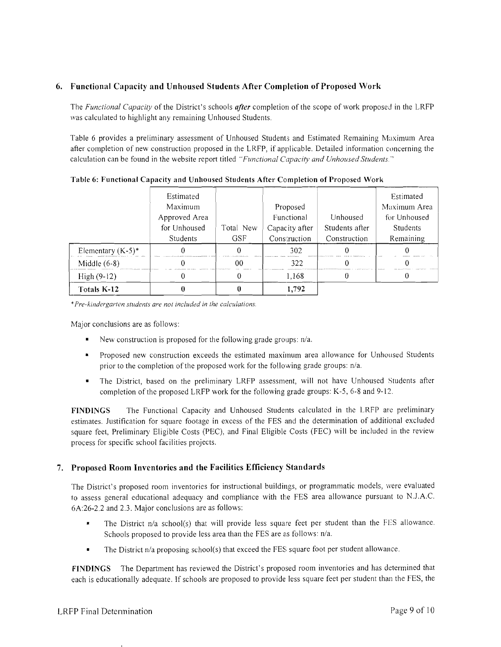# 6. Functional Capacity and Unhoused Students After Completion of Proposed Work

The *Functional Capacity* of the District'S schools *after* completion of the scope of work proposed in the LRFP was calculated to highlight any remaining Unhoused Students.

Table 6 provides a preliminary assessment of Unhoused Students and Estimated Remaining Maximum Area after completion of new construction proposed in the LRFP, if applicable. Detailed information concerning the calculation can be found in the website report titled *"Functional Capacity and Unhoused Students.* "

|                      | Estimated<br>Maximum     |                         | Proposed                       |                                | Estimated<br>Maximum Area |
|----------------------|--------------------------|-------------------------|--------------------------------|--------------------------------|---------------------------|
|                      | Approved Area            |                         | Functional                     | Unhoused                       | for Unhoused              |
|                      | for Unhoused<br>Students | Total New<br><b>GSF</b> | Capacity after<br>Construction | Students after<br>Construction | Students<br>Remaining     |
| Elementary $(K-5)^*$ |                          |                         | 302                            |                                |                           |
| Middle $(6-8)$       |                          | იი                      | 322                            |                                |                           |
| $High (9-12)$        |                          |                         | 1,168                          |                                |                           |
| Totals K-12          |                          |                         | 1.792                          |                                |                           |

Table 6: Functional Capacity and Unhoused Students After Completion of Proposed Work

*• Pre-kindergarten students are not included in the calculations.* 

Major conclusions are as follows:

- New construction is proposed for the following grade groups:  $n/a$ .
- • Proposed new construction exceeds the estimated maximum area allowance for Unhoused Students prior to the completion of the proposed work for the following grade groups: n/a.
- The District, based on the preliminary LRFP assessment, will not have Unhoused Students after completion of the proposed LRFP work for the following grade groups: K-5, 6-8 and 9-12.

FINDINGS The Functional Capacity and Unhoused Students calculated in the LRFP are preliminary estimates. Justification for square footage in excess of the FES and the determination of additional excluded square feet, Preliminary Eligible Costs (PEC), and Final Eligible Costs (FEC) will be included in the review process for specific school facilities projects.

# 7. Proposed Room Inventories and the Facilities Efficiency Standards

The District's proposed room inventories for instructional buildings, or programmatic models, were evaluated to assess general educational adequacy and compliance with the FES area allowance pursuant to NJ.A.C. 6A:26-2.2 and 2.3, Major conclusions are as follows:

- • The District *nla* school(s) that will provide less square feet per student than the FES allowance. Schools proposed to provide less area than the FES are as follows:  $n/a$ .
- The District n/a proposing school(s) that exceed the FES square foot per student allowance.

FINDINGS The Department has reviewed the District's proposed room inventories and has determined that each is educationally adequate. If schools are proposed to provide less square feet per student than the FES, the